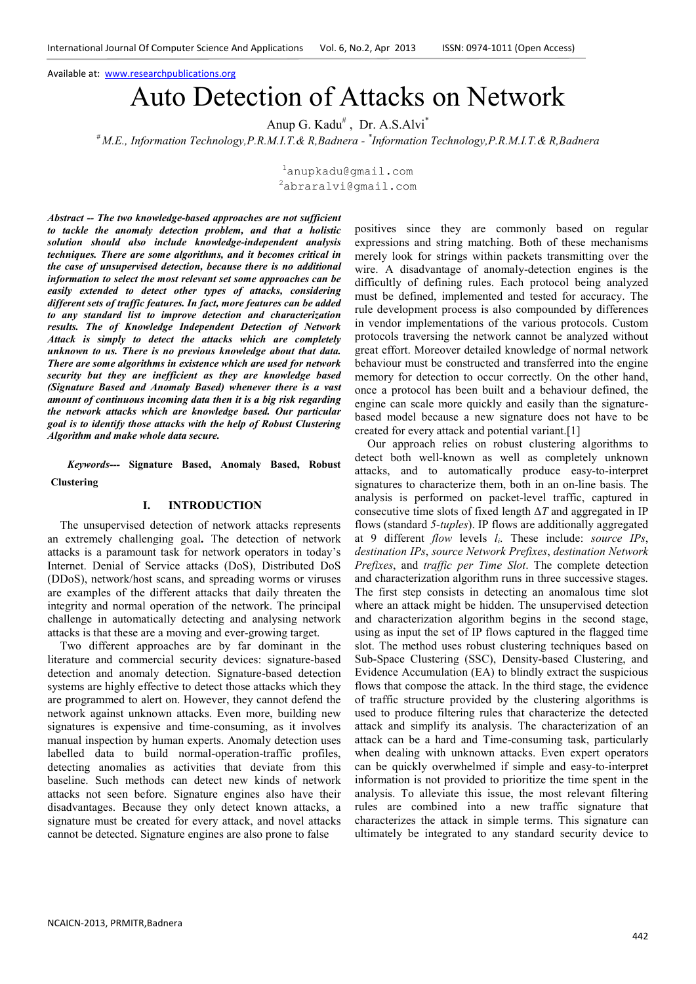Available at: www.researchpublications.org

# Auto Detection of Attacks on Network

Anup G. Kadu<sup>#</sup>, Dr. A.S.Alvi<sup>\*</sup>

*# M.E., Information Technology,P.R.M.I.T.& R,Badnera - \* Information Technology,P.R.M.I.T.& R,Badnera* 

<sup>1</sup>anupkadu@gmail.com <sup>2</sup>abraralvi@gmail.com

*Abstract -- The two knowledge-based approaches are not sufficient to tackle the anomaly detection problem, and that a holistic solution should also include knowledge-independent analysis techniques. There are some algorithms, and it becomes critical in the case of unsupervised detection, because there is no additional information to select the most relevant set some approaches can be easily extended to detect other types of attacks, considering different sets of traffic features. In fact, more features can be added to any standard list to improve detection and characterization results. The of Knowledge Independent Detection of Network Attack is simply to detect the attacks which are completely unknown to us. There is no previous knowledge about that data. There are some algorithms in existence which are used for network security but they are inefficient as they are knowledge based (Signature Based and Anomaly Based) whenever there is a vast amount of continuous incoming data then it is a big risk regarding the network attacks which are knowledge based. Our particular goal is to identify those attacks with the help of Robust Clustering Algorithm and make whole data secure.* 

*Keywords---* **Signature Based, Anomaly Based, Robust Clustering** 

## **I. INTRODUCTION**

The unsupervised detection of network attacks represents an extremely challenging goal**.** The detection of network attacks is a paramount task for network operators in today's Internet. Denial of Service attacks (DoS), Distributed DoS (DDoS), network/host scans, and spreading worms or viruses are examples of the different attacks that daily threaten the integrity and normal operation of the network. The principal challenge in automatically detecting and analysing network attacks is that these are a moving and ever-growing target.

Two different approaches are by far dominant in the literature and commercial security devices: signature-based detection and anomaly detection. Signature-based detection systems are highly effective to detect those attacks which they are programmed to alert on. However, they cannot defend the network against unknown attacks. Even more, building new signatures is expensive and time-consuming, as it involves manual inspection by human experts. Anomaly detection uses labelled data to build normal-operation-traffic profiles, detecting anomalies as activities that deviate from this baseline. Such methods can detect new kinds of network attacks not seen before. Signature engines also have their disadvantages. Because they only detect known attacks, a signature must be created for every attack, and novel attacks cannot be detected. Signature engines are also prone to false

positives since they are commonly based on regular expressions and string matching. Both of these mechanisms merely look for strings within packets transmitting over the wire. A disadvantage of anomaly-detection engines is the difficultly of defining rules. Each protocol being analyzed must be defined, implemented and tested for accuracy. The rule development process is also compounded by differences in vendor implementations of the various protocols. Custom protocols traversing the network cannot be analyzed without great effort. Moreover detailed knowledge of normal network behaviour must be constructed and transferred into the engine memory for detection to occur correctly. On the other hand, once a protocol has been built and a behaviour defined, the engine can scale more quickly and easily than the signaturebased model because a new signature does not have to be created for every attack and potential variant.[1]

Our approach relies on robust clustering algorithms to detect both well-known as well as completely unknown attacks, and to automatically produce easy-to-interpret signatures to characterize them, both in an on-line basis. The analysis is performed on packet-level traffic, captured in consecutive time slots of fixed length ∆*T* and aggregated in IP flows (standard *5-tuples*). IP flows are additionally aggregated at 9 different *flow* levels *l<sup>i</sup>* . These include: *source IPs*, *destination IPs*, *source Network Prefixes*, *destination Network Prefixes*, and *traffic per Time Slot*. The complete detection and characterization algorithm runs in three successive stages. The first step consists in detecting an anomalous time slot where an attack might be hidden. The unsupervised detection and characterization algorithm begins in the second stage, using as input the set of IP flows captured in the flagged time slot. The method uses robust clustering techniques based on Sub-Space Clustering (SSC), Density-based Clustering, and Evidence Accumulation (EA) to blindly extract the suspicious flows that compose the attack. In the third stage, the evidence of traffic structure provided by the clustering algorithms is used to produce filtering rules that characterize the detected attack and simplify its analysis. The characterization of an attack can be a hard and Time-consuming task, particularly when dealing with unknown attacks. Even expert operators can be quickly overwhelmed if simple and easy-to-interpret information is not provided to prioritize the time spent in the analysis. To alleviate this issue, the most relevant filtering rules are combined into a new traffic signature that characterizes the attack in simple terms. This signature can ultimately be integrated to any standard security device to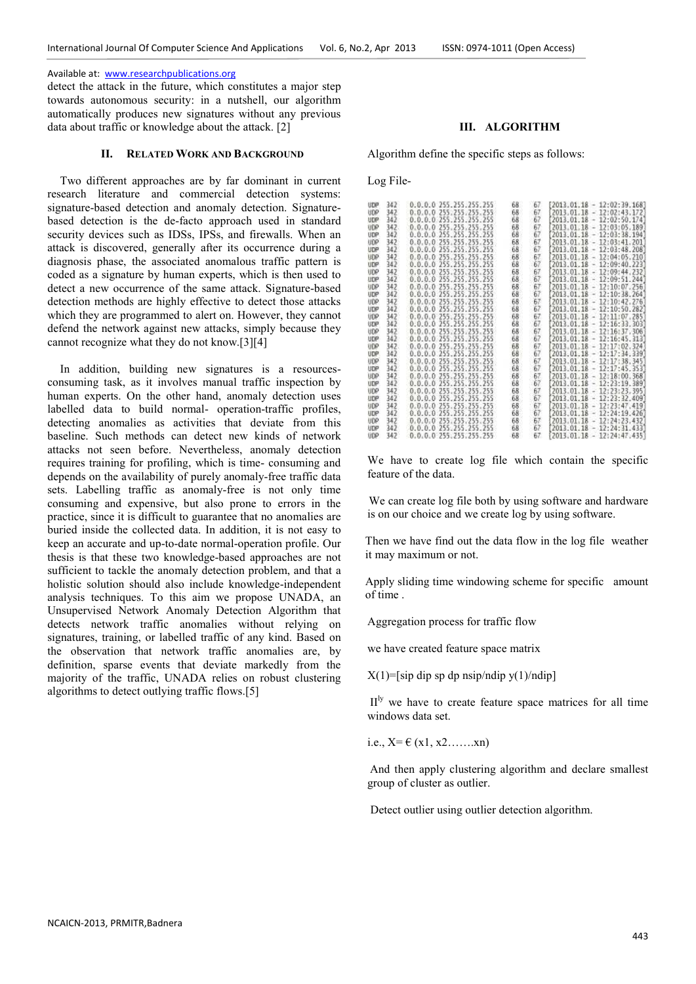## Available at: www.researchpublications.org

detect the attack in the future, which constitutes a major step towards autonomous security: in a nutshell, our algorithm automatically produces new signatures without any previous data about traffic or knowledge about the attack. [2]

#### **II. RELATED WORK AND BACKGROUND**

Two different approaches are by far dominant in current research literature and commercial detection systems: signature-based detection and anomaly detection. Signaturebased detection is the de-facto approach used in standard security devices such as IDSs, IPSs, and firewalls. When an attack is discovered, generally after its occurrence during a diagnosis phase, the associated anomalous traffic pattern is coded as a signature by human experts, which is then used to detect a new occurrence of the same attack. Signature-based detection methods are highly effective to detect those attacks which they are programmed to alert on. However, they cannot defend the network against new attacks, simply because they cannot recognize what they do not know.[3][4]

In addition, building new signatures is a resourcesconsuming task, as it involves manual traffic inspection by human experts. On the other hand, anomaly detection uses labelled data to build normal- operation-traffic profiles, detecting anomalies as activities that deviate from this baseline. Such methods can detect new kinds of network attacks not seen before. Nevertheless, anomaly detection requires training for profiling, which is time- consuming and depends on the availability of purely anomaly-free traffic data sets. Labelling traffic as anomaly-free is not only time consuming and expensive, but also prone to errors in the practice, since it is difficult to guarantee that no anomalies are buried inside the collected data. In addition, it is not easy to keep an accurate and up-to-date normal-operation profile. Our thesis is that these two knowledge-based approaches are not sufficient to tackle the anomaly detection problem, and that a holistic solution should also include knowledge-independent analysis techniques. To this aim we propose UNADA, an Unsupervised Network Anomaly Detection Algorithm that detects network traffic anomalies without relying on signatures, training, or labelled traffic of any kind. Based on the observation that network traffic anomalies are, by definition, sparse events that deviate markedly from the majority of the traffic, UNADA relies on robust clustering algorithms to detect outlying traffic flows.[5]

# **III. ALGORITHM**

Algorithm define the specific steps as follows:

Log File-

| <b>UDP</b> | 342  | 0.0.0.0 255.255.255.255       | 68 | 67 | $[2013.01.18 - 12:02:39.168]$         |
|------------|------|-------------------------------|----|----|---------------------------------------|
| <b>HDP</b> | 342  | 0.0.0.0 255.255.255.255       | 68 | 67 | $2013, 01, 18 - 12; 02; 43, 172$      |
| UDP        | 342  | 0.0.0.0.255.255.255.255       | 68 | 67 | $2013.01.18 - 12.02:50.174$           |
| <b>UDP</b> | 342. | 0.0.0.0 255.255.255.255       | 68 | 67 | 2013.01.18 - 12:03:05.189             |
| UDP        | 342  | 0.0.0.0.255.255.255.          | 68 | 67 | 2013.01.18 - 12:03:38.1947            |
| <b>UDP</b> | 342  | 0.0.0.0 255.255.255.255       | 68 | 67 | 2013.01.18 - 12:03:41.201             |
| UDP        | 342  | 0.0.0.0 255.255.255.255       | 68 | 67 | $2013.01.18 - 12.03:48.208$           |
| <b>UDP</b> | 342  | 255.255.255.255<br>0.0.0.0    | 68 | 67 | 2013.01.18 - 12:04:05.210             |
| UDP        | 342  | 255.255.255.255<br>0.0.0.0    | 68 | 67 | $-12:09:40.223$<br>2013.01.18         |
| UDP        | 342  | 255.255.255.255<br>0.0.0.0    | 68 | 67 | 2013.01.18 - 12:09:44.232             |
| upe        | 342  | 255.255.255<br>0.0.0.0        | 68 | 67 | 2013.01.18 - 12:09:51.244             |
| UDP        | 342  | 0.0.0.0 255.255.255.255       | 68 | 67 | $2013.01.18 -$<br>12:10:07.256]       |
| <b>UDP</b> | 342  | 0.0.0.0 255.255.255.255       | 68 | 67 | $2013.01.18 - 12:10:38.264$           |
| <b>UDP</b> | 342  | 0.0.0.0 255.255.255.255       | 68 | 67 | 2013.01.18 - 12:10:42.276             |
| UDP        | 342  | 255.255.255.255<br>0.0.0.0    | 68 | 67 | $-12:10:50.282$<br>2013.01.18         |
| <b>UDP</b> | 342  | 0.0.0.0 255.255.255.255       | 68 | 67 | $2013.01.18 - 12:11:07.285$           |
| UDP        | 342  | 255.255.255<br>0.0.0.0        | 68 | 67 | $2013.01.18 - 12:16:33.303$           |
| <b>UDP</b> | 342  | 0.0.0.0 255.255.255.255       | 68 | 67 | $2013.01.18 - 12:16:37.306$           |
| UDP        | 342  | 0.0.0.0.255.255.255.255       | 68 | 67 | $2013.01.18 - 12:16:45.313$           |
| <b>UDP</b> | 342  | 0.0.0.0 255.255.255.255       | 68 | 67 | 2013.01.18 - 12:17:02.324             |
| UDP        | 342  | 255.255.255.255<br>0.0.0.0    | 68 | 67 | 2013.01.18 - 12:17:34.339]            |
| UDP        | 342  | 0.0.0.0<br>255.255.255.255    | 68 | 67 | 2013.01.18 - 12:17:38.345             |
| UDP        | 342  | 255.255.255<br>255<br>0.0.0.0 | 68 | 67 | 2013.01.18 - 12:17:45.353             |
| <b>UDP</b> | 342  | 255.255.255.255<br>0.0.0.0    | 68 | 67 | 2013.01.18 - 12:18:00.368             |
| <b>UDP</b> | 342  | 255.255.255.255<br>0.0.0.0    | 68 | 67 | 12:23:19.389]<br>2013.01.18<br>$\sim$ |
| UDP        | 342  | 255.255.255.255<br>0, 0, 0, 0 | 68 | 67 | 2013.01.18 - 12:23:23.395             |
| upe        | 342  | 255.255.255.255<br>0.0.0.0    | 68 | 67 | $-12:23:32.409$<br>2013.01.18         |
| <b>UDP</b> | 342  | 0.0.0.0<br>255.255.255.255    | 68 | 67 | $2013.01.18 -$<br>12:23:47.419        |
| <b>UDP</b> | 342  | 255.255.255<br>0.0.0.0        | 68 | 67 | 2013.01.18 - 12:24:19.426             |
| UDP        | 342  | 255.255.255.255<br>0.0.0.0    | 68 | 67 | 12:24:23.432]<br>2013.01.18<br>×      |
| UDP        | 342  | 0.0.0.0 255.255.255.255       | 68 | 67 | 2013.01.18<br>$-12:24:31.433$         |
| <b>UDP</b> | 342  | 0.0.0.0 255.255.255.255       | 68 | 67 | 2013.01.18 - 12:24:47.435             |

We have to create log file which contain the specific feature of the data.

We can create log file both by using software and hardware is on our choice and we create log by using software.

Then we have find out the data flow in the log file weather it may maximum or not.

Apply sliding time windowing scheme for specific amount of time .

Aggregation process for traffic flow

we have created feature space matrix

 $X(1)$ =[sip dip sp dp nsip/ndip y(1)/ndip]

 $II<sup>ly</sup>$  we have to create feature space matrices for all time windows data set.

i.e.,  $X = \theta(x1, x2, \dots, xn)$ 

And then apply clustering algorithm and declare smallest group of cluster as outlier.

Detect outlier using outlier detection algorithm.